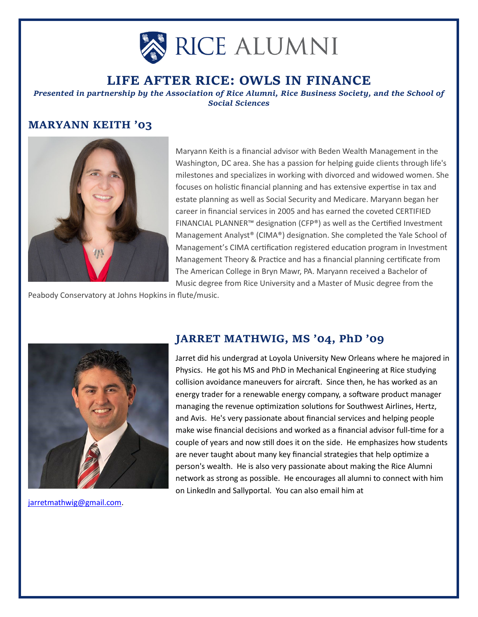

# **LIFE AFTER RICE: OWLS IN FINANCE**

*Presented in partnership by the Association of Rice Alumni, Rice Business Society, and the School of Social Sciences*

## **MARYANN KEITH '03**



Maryann Keith is a financial advisor with Beden Wealth Management in the Washington, DC area. She has a passion for helping guide clients through life's milestones and specializes in working with divorced and widowed women. She focuses on holistic financial planning and has extensive expertise in tax and estate planning as well as Social Security and Medicare. Maryann began her career in financial services in 2005 and has earned the coveted CERTIFIED FINANCIAL PLANNER™ designation (CFP®) as well as the Certified Investment Management Analyst® (CIMA®) designation. She completed the Yale School of Management's CIMA certification registered education program in Investment Management Theory & Practice and has a financial planning certificate from The American College in Bryn Mawr, PA. Maryann received a Bachelor of Music degree from Rice University and a Master of Music degree from the

Peabody Conservatory at Johns Hopkins in flute/music.



[jarretmathwig@gmail.com.](mailto:jarretmathwig@gmail.com)

### **JARRET MATHWIG, MS '04, PhD '09**

Jarret did his undergrad at Loyola University New Orleans where he majored in Physics. He got his MS and PhD in Mechanical Engineering at Rice studying collision avoidance maneuvers for aircraft. Since then, he has worked as an energy trader for a renewable energy company, a software product manager managing the revenue optimization solutions for Southwest Airlines, Hertz, and Avis. He's very passionate about financial services and helping people make wise financial decisions and worked as a financial advisor full-time for a couple of years and now still does it on the side. He emphasizes how students are never taught about many key financial strategies that help optimize a person's wealth. He is also very passionate about making the Rice Alumni network as strong as possible. He encourages all alumni to connect with him on LinkedIn and Sallyportal. You can also email him at